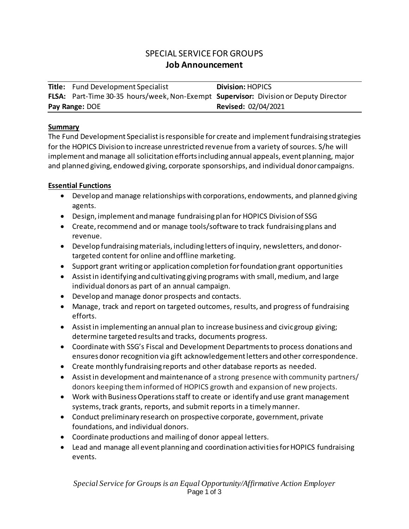# SPECIAL SERVICE FOR GROUPS **Job Announcement**

|                | <b>Title:</b> Fund Development Specialist                                            | <b>Division: HOPICS</b>    |
|----------------|--------------------------------------------------------------------------------------|----------------------------|
|                | FLSA: Part-Time 30-35 hours/week, Non-Exempt Supervisor: Division or Deputy Director |                            |
| Pay Range: DOE |                                                                                      | <b>Revised: 02/04/2021</b> |

#### **Summary**

The Fund Development Specialist is responsible for create and implementfundraising strategies for the HOPICS Division to increase unrestricted revenue from a variety of sources. S/he will implement and manage all solicitation efforts including annual appeals, event planning, major and planned giving, endowed giving, corporate sponsorships, and individual donor campaigns.

### **Essential Functions**

- Develop and manage relationships with corporations, endowments, and planned giving agents.
- Design, implement and manage fundraising plan for HOPICS Division of SSG
- Create, recommend and or manage tools/software to track fundraising plans and revenue.
- Develop fundraising materials, including letters of inquiry, newsletters, and donortargeted content for online and offline marketing.
- Support grant writing or application completion for foundation grant opportunities
- Assist in identifying and cultivating giving programs with small, medium, and large individual donors as part of an annual campaign.
- Develop and manage donor prospects and contacts.
- Manage, track and report on targeted outcomes, results, and progress of fundraising efforts.
- Assist in implementing an annual plan to increase business and civic group giving; determine targeted results and tracks, documents progress.
- Coordinate with SSG's Fiscal and Development Departmentsto process donations and ensures donor recognition via gift acknowledgement letters and other correspondence.
- Create monthly fundraising reports and other database reports as needed.
- Assist in development and maintenance of a strong presence with community partners/ donors keeping theminformed of HOPICS growth and expansion of new projects.
- Work with Business Operations staff to create or identify and use grant management systems, track grants, reports, and submit reports in a timely manner.
- Conduct preliminary research on prospective corporate, government, private foundations, and individual donors.
- Coordinate productions and mailing of donor appeal letters.
- Lead and manage all event planning and coordination activities for HOPICS fundraising events.

*Special Service for Groups is an Equal Opportunity/Affirmative Action Employer* Page 1 of 3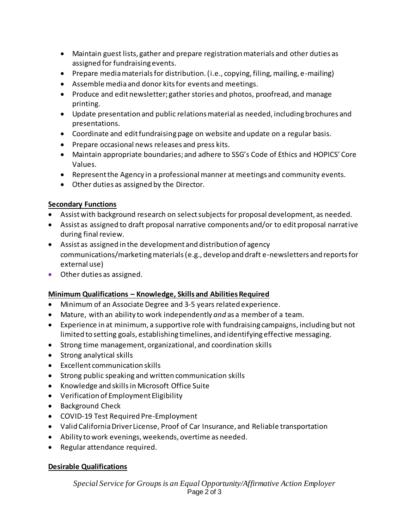- Maintain guest lists, gather and prepare registration materials and other duties as assigned for fundraising events.
- Prepare media materials for distribution. (i.e., copying, filing, mailing, e-mailing)
- Assemble media and donor kits for events and meetings.
- Produce and edit newsletter; gather stories and photos, proofread, and manage printing.
- Update presentation and public relations material as needed, including brochures and presentations.
- Coordinate and edit fundraising page on website and update on a regular basis.
- Prepare occasional news releases and press kits.
- Maintain appropriate boundaries; and adhere to SSG's Code of Ethics and HOPICS' Core Values.
- Represent the Agency in a professional manner at meetings and community events.
- Other duties as assigned by the Director.

### **Secondary Functions**

- Assist with background research on select subjects for proposal development, as needed.
- Assist as assigned to draft proposal narrative components and/or to edit proposal narrative during final review.
- Assist as assigned in the development and distribution of agency communications/marketing materials (e.g., develop and draft e-newsletters and reports for external use)
- Other duties as assigned.

## **Minimum Qualifications – Knowledge, Skills and Abilities Required**

- Minimum of an Associate Degree and 3-5 years related experience.
- Mature, with an ability to work independently *and* as a member of a team.
- Experience in at minimum, a supportive role with fundraising campaigns, including but not limited to setting goals, establishing timelines, and identifying effective messaging.
- Strong time management, organizational, and coordination skills
- Strong analytical skills
- Excellent communication skills
- Strong public speaking and written communication skills
- Knowledge and skills in Microsoft Office Suite
- Verification of Employment Eligibility
- Background Check
- COVID-19 Test Required Pre-Employment
- Valid California Driver License, Proof of Car Insurance, and Reliable transportation
- Ability to work evenings, weekends, overtime as needed.
- Regular attendance required.

## **Desirable Qualifications**

*Special Service for Groups is an Equal Opportunity/Affirmative Action Employer* Page 2 of 3